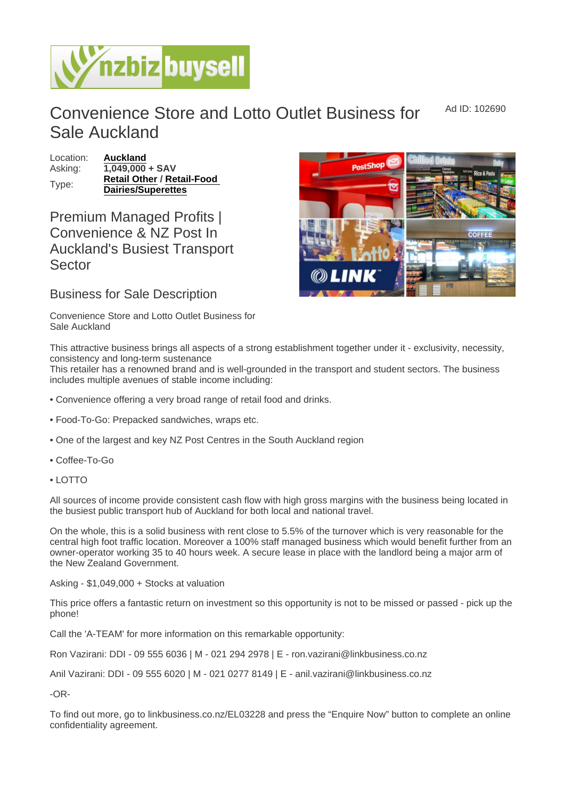Ad ID: 102690

## Convenience Store and Lotto Outlet Business for Sale Auckland

Location: [Auckland](https://www.nzbizbuysell.co.nz/businesses-for-sale/location/Auckland) Asking:  $\sqrt{1,049,000} +$  SAV Type: [Retail Other](https://www.nzbizbuysell.co.nz/businesses-for-sale/Retail-Other/New-Zealand) / Retail-Food [Dairies/Superettes](https://www.nzbizbuysell.co.nz/businesses-for-sale/Retail-Food-Dairies--Superettes/New-Zealand)

Premium Managed Profits | Convenience & NZ Post In Auckland's Busiest Transport Sector

Business for Sale Description

Convenience Store and Lotto Outlet Business for Sale Auckland

This attractive business brings all aspects of a strong establishment together under it - exclusivity, necessity, consistency and long-term sustenance

This retailer has a renowned brand and is well-grounded in the transport and student sectors. The business includes multiple avenues of stable income including:

- Convenience offering a very broad range of retail food and drinks.
- Food-To-Go: Prepacked sandwiches, wraps etc.
- One of the largest and key NZ Post Centres in the South Auckland region
- Coffee-To-Go
- LOTTO

All sources of income provide consistent cash flow with high gross margins with the business being located in the busiest public transport hub of Auckland for both local and national travel.

On the whole, this is a solid business with rent close to 5.5% of the turnover which is very reasonable for the central high foot traffic location. Moreover a 100% staff managed business which would benefit further from an owner-operator working 35 to 40 hours week. A secure lease in place with the landlord being a major arm of the New Zealand Government.

Asking - \$1,049,000 + Stocks at valuation

This price offers a fantastic return on investment so this opportunity is not to be missed or passed - pick up the phone!

Call the 'A-TEAM' for more information on this remarkable opportunity:

Ron Vazirani: DDI - 09 555 6036 | M - 021 294 2978 | E - ron.vazirani@linkbusiness.co.nz

Anil Vazirani: DDI - 09 555 6020 | M - 021 0277 8149 | E - anil.vazirani@linkbusiness.co.nz

-OR-

To find out more, go to linkbusiness.co.nz/EL03228 and press the "Enquire Now" button to complete an online confidentiality agreement.